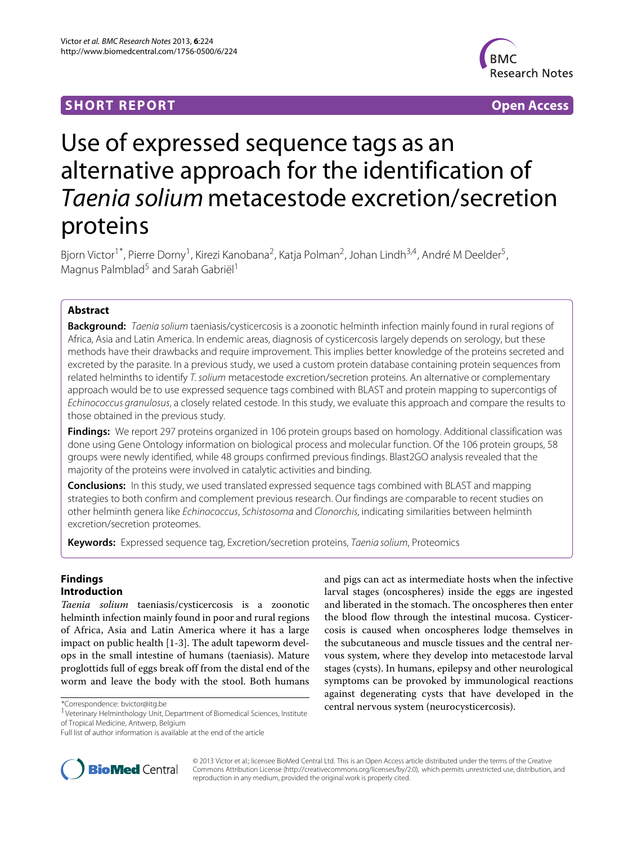# **SHORT REPORT Open Access**



# Use of expressed sequence tags as an alternative approach for the identification of *Taenia solium* metacestode excretion/secretion proteins

Bjorn Victor<sup>1\*</sup>, Pierre Dorny<sup>1</sup>, Kirezi Kanobana<sup>2</sup>, Katja Polman<sup>2</sup>, Johan Lindh<sup>3,4</sup>, André M Deelder<sup>5</sup>, Magnus Palmblad<sup>5</sup> and Sarah Gabriël<sup>1</sup>

# **Abstract**

**Background:** *Taenia solium* taeniasis/cysticercosis is a zoonotic helminth infection mainly found in rural regions of Africa, Asia and Latin America. In endemic areas, diagnosis of cysticercosis largely depends on serology, but these methods have their drawbacks and require improvement. This implies better knowledge of the proteins secreted and excreted by the parasite. In a previous study, we used a custom protein database containing protein sequences from related helminths to identify *T. solium* metacestode excretion/secretion proteins. An alternative or complementary approach would be to use expressed sequence tags combined with BLAST and protein mapping to supercontigs of *Echinococcus granulosus*, a closely related cestode. In this study, we evaluate this approach and compare the results to those obtained in the previous study.

**Findings:** We report 297 proteins organized in 106 protein groups based on homology. Additional classification was done using Gene Ontology information on biological process and molecular function. Of the 106 protein groups, 58 groups were newly identified, while 48 groups confirmed previous findings. Blast2GO analysis revealed that the majority of the proteins were involved in catalytic activities and binding.

**Conclusions:** In this study, we used translated expressed sequence tags combined with BLAST and mapping strategies to both confirm and complement previous research. Our findings are comparable to recent studies on other helminth genera like *Echinococcus*, *Schistosoma* and *Clonorchis*, indicating similarities between helminth excretion/secretion proteomes.

**Keywords:** Expressed sequence tag, Excretion/secretion proteins, *Taenia solium*, Proteomics

# **Findings Introduction**

*Taenia solium* taeniasis/cysticercosis is a zoonotic helminth infection mainly found in poor and rural regions of Africa, Asia and Latin America where it has a large impact on public health [\[1](#page-7-0)[-3\]](#page-7-1). The adult tapeworm develops in the small intestine of humans (taeniasis). Mature proglottids full of eggs break off from the distal end of the worm and leave the body with the stool. Both humans

\*Correspondence: bvictor@itg.be

and pigs can act as intermediate hosts when the infective larval stages (oncospheres) inside the eggs are ingested and liberated in the stomach. The oncospheres then enter the blood flow through the intestinal mucosa. Cysticercosis is caused when oncospheres lodge themselves in the subcutaneous and muscle tissues and the central nervous system, where they develop into metacestode larval stages (cysts). In humans, epilepsy and other neurological symptoms can be provoked by immunological reactions against degenerating cysts that have developed in the central nervous system (neurocysticercosis).



© 2013 Victor et al.; licensee BioMed Central Ltd. This is an Open Access article distributed under the terms of the Creative Commons Attribution License (http://creativecommons.org/licenses/by/2.0), which permits unrestricted use, distribution, and reproduction in any medium, provided the original work is properly cited.

<sup>1</sup>Veterinary Helminthology Unit, Department of Biomedical Sciences, Institute of Tropical Medicine, Antwerp, Belgium

Full list of author information is available at the end of the article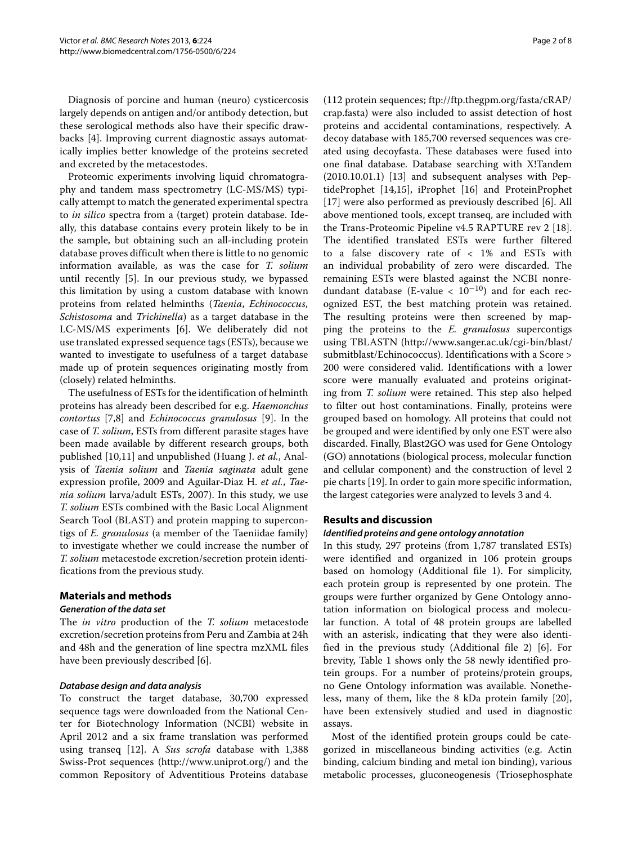Diagnosis of porcine and human (neuro) cysticercosis largely depends on antigen and/or antibody detection, but these serological methods also have their specific drawbacks [\[4\]](#page-7-2). Improving current diagnostic assays automatically implies better knowledge of the proteins secreted and excreted by the metacestodes.

Proteomic experiments involving liquid chromatography and tandem mass spectrometry (LC-MS/MS) typically attempt to match the generated experimental spectra to *in silico* spectra from a (target) protein database. Ideally, this database contains every protein likely to be in the sample, but obtaining such an all-including protein database proves difficult when there is little to no genomic information available, as was the case for *T. solium* until recently [\[5\]](#page-7-3). In our previous study, we bypassed this limitation by using a custom database with known proteins from related helminths (*Taenia*, *Echinococcus*, *Schistosoma* and *Trichinella*) as a target database in the LC-MS/MS experiments [\[6\]](#page-7-4). We deliberately did not use translated expressed sequence tags (ESTs), because we wanted to investigate to usefulness of a target database made up of protein sequences originating mostly from (closely) related helminths.

The usefulness of ESTs for the identification of helminth proteins has already been described for e.g. *Haemonchus contortus* [\[7,](#page-7-5)[8\]](#page-7-6) and *Echinococcus granulosus* [\[9\]](#page-7-7). In the case of *T. solium*, ESTs from different parasite stages have been made available by different research groups, both published [\[10,](#page-7-8)[11\]](#page-7-9) and unpublished (Huang J. *et al.*, Analysis of *Taenia solium* and *Taenia saginata* adult gene expression profile, 2009 and Aguilar-Diaz H. *et al.*, *Taenia solium* larva/adult ESTs, 2007). In this study, we use *T. solium* ESTs combined with the Basic Local Alignment Search Tool (BLAST) and protein mapping to supercontigs of *E. granulosus* (a member of the Taeniidae family) to investigate whether we could increase the number of *T. solium* metacestode excretion/secretion protein identifications from the previous study.

# **Materials and methods**

# *Generation of the data set*

The *in vitro* production of the *T. solium* metacestode excretion/secretion proteins from Peru and Zambia at 24h and 48h and the generation of line spectra mzXML files have been previously described [\[6\]](#page-7-4).

# *Database design and data analysis*

To construct the target database, 30,700 expressed sequence tags were downloaded from the National Center for Biotechnology Information (NCBI) website in April 2012 and a six frame translation was performed using transeq [\[12\]](#page-7-10). A *Sus scrofa* database with 1,388 Swiss-Prot sequences [\(http://www.uniprot.org/\)](http://www.uniprot.org/) and the common Repository of Adventitious Proteins database

(112 protein sequences; [ftp://ftp.thegpm.org/fasta/cRAP/](ftp://ftp.thegpm.org/fasta/cRAP/crap.fasta) [crap.fasta\)](ftp://ftp.thegpm.org/fasta/cRAP/crap.fasta) were also included to assist detection of host proteins and accidental contaminations, respectively. A decoy database with 185,700 reversed sequences was created using decoyfasta. These databases were fused into one final database. Database searching with X!Tandem (2010.10.01.1) [\[13\]](#page-7-11) and subsequent analyses with PeptideProphet [\[14,](#page-7-12)[15\]](#page-7-13), iProphet [\[16\]](#page-7-14) and ProteinProphet [\[17\]](#page-7-15) were also performed as previously described [\[6\]](#page-7-4). All above mentioned tools, except transeq, are included with the Trans-Proteomic Pipeline v4.5 RAPTURE rev 2 [\[18\]](#page-7-16). The identified translated ESTs were further filtered to a false discovery rate of < 1% and ESTs with an individual probability of zero were discarded. The remaining ESTs were blasted against the NCBI nonredundant database (E-value <  $10^{-10}$ ) and for each recognized EST, the best matching protein was retained. The resulting proteins were then screened by mapping the proteins to the *E. granulosus* supercontigs using TBLASTN [\(http://www.sanger.ac.uk/cgi-bin/blast/](http://www.sanger.ac.uk/cgi-bin/blast/submitblast/Echinococcus) [submitblast/Echinococcus\)](http://www.sanger.ac.uk/cgi-bin/blast/submitblast/Echinococcus). Identifications with a Score > 200 were considered valid. Identifications with a lower score were manually evaluated and proteins originating from *T. solium* were retained. This step also helped to filter out host contaminations. Finally, proteins were grouped based on homology. All proteins that could not be grouped and were identified by only one EST were also discarded. Finally, Blast2GO was used for Gene Ontology (GO) annotations (biological process, molecular function and cellular component) and the construction of level 2 pie charts [\[19\]](#page-7-17). In order to gain more specific information, the largest categories were analyzed to levels 3 and 4.

# **Results and discussion**

# *Identified proteins and gene ontology annotation*

In this study, 297 proteins (from 1,787 translated ESTs) were identified and organized in 106 protein groups based on homology (Additional file [1\)](#page-6-0). For simplicity, each protein group is represented by one protein. The groups were further organized by Gene Ontology annotation information on biological process and molecular function. A total of 48 protein groups are labelled with an asterisk, indicating that they were also identified in the previous study (Additional file [2\)](#page-6-1) [\[6\]](#page-7-4). For brevity, Table [1](#page-2-0) shows only the 58 newly identified protein groups. For a number of proteins/protein groups, no Gene Ontology information was available. Nonetheless, many of them, like the 8 kDa protein family [\[20\]](#page-7-18), have been extensively studied and used in diagnostic assays.

Most of the identified protein groups could be categorized in miscellaneous binding activities (e.g. Actin binding, calcium binding and metal ion binding), various metabolic processes, gluconeogenesis (Triosephosphate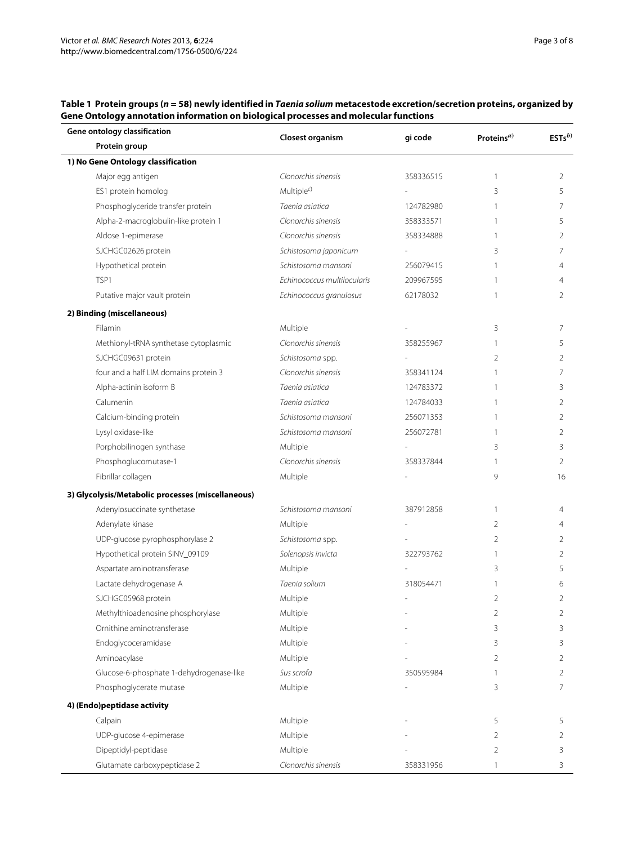| Gene ontology classification                      | Closest organism                           | gi code   | Proteins <sup><math>a)</math></sup> | $ESTs^{b)}$ |
|---------------------------------------------------|--------------------------------------------|-----------|-------------------------------------|-------------|
| Protein group                                     |                                            |           |                                     |             |
| 1) No Gene Ontology classification                |                                            |           |                                     |             |
| Major egg antigen                                 | Clonorchis sinensis                        | 358336515 | 1                                   | 2           |
| ES1 protein homolog                               | Multiple <sup>c</sup>                      |           | 3                                   | 5           |
| Phosphoglyceride transfer protein                 | Taenia asiatica                            | 124782980 | $\mathbf{1}$                        | 7           |
| Alpha-2-macroglobulin-like protein 1              | Clonorchis sinensis<br>Clonorchis sinensis | 358333571 | 1<br>1                              | 5           |
| Aldose 1-epimerase                                |                                            | 358334888 |                                     | 2           |
| SJCHGC02626 protein                               | Schistosoma japonicum                      |           | 3                                   | 7           |
| Hypothetical protein                              | Schistosoma mansoni                        | 256079415 | 1                                   | 4           |
| TSP1                                              | Echinococcus multilocularis                | 209967595 | 1                                   | 4           |
| Putative major vault protein                      | Echinococcus granulosus                    | 62178032  | 1                                   | 2           |
| 2) Binding (miscellaneous)                        |                                            |           |                                     |             |
| Filamin                                           | Multiple                                   |           | 3                                   | 7           |
| Methionyl-tRNA synthetase cytoplasmic             | Clonorchis sinensis                        | 358255967 | $\mathbf{1}$                        | 5           |
| SJCHGC09631 protein                               | Schistosoma spp.                           |           | 2                                   | 2           |
| four and a half LIM domains protein 3             | Clonorchis sinensis                        | 358341124 | 1                                   | 7           |
| Alpha-actinin isoform B                           | Taenia asiatica                            | 124783372 | 1                                   | 3           |
| Calumenin                                         | Taenia asiatica                            | 124784033 | 1                                   | 2           |
| Calcium-binding protein                           | Schistosoma mansoni                        | 256071353 | 1                                   | 2           |
| Lysyl oxidase-like                                | Schistosoma mansoni                        | 256072781 | $\mathbf{1}$                        | 2           |
| Porphobilinogen synthase                          | Multiple                                   |           | 3                                   | 3           |
| Phosphoglucomutase-1                              | Clonorchis sinensis                        | 358337844 | 1                                   | 2           |
| Fibrillar collagen                                | Multiple                                   |           | 9                                   | 16          |
| 3) Glycolysis/Metabolic processes (miscellaneous) |                                            |           |                                     |             |
| Adenylosuccinate synthetase                       | Schistosoma mansoni                        | 387912858 | $\mathbf{1}$                        | 4           |
| Adenylate kinase                                  | Multiple                                   |           | 2                                   | 4           |
| UDP-glucose pyrophosphorylase 2                   | Schistosoma spp.                           |           | $\overline{2}$                      | 2           |
| Hypothetical protein SINV_09109                   | Solenopsis invicta                         | 322793762 | $\mathbf{1}$                        | 2           |
| Aspartate aminotransferase                        | Multiple                                   |           | 3                                   | 5           |
| Lactate dehydrogenase A                           | Taenia solium                              | 318054471 | $\mathbf{1}$                        | 6           |
| SJCHGC05968 protein                               | Multiple                                   |           | 2                                   | 2           |
| Methylthioadenosine phosphorylase                 | Multiple                                   |           | 2                                   | 2           |
| Ornithine aminotransferase                        | Multiple                                   |           | 3                                   | 3           |
| Endoglycoceramidase                               | Multiple                                   |           | 3                                   | 3           |
| Aminoacylase                                      | Multiple                                   |           | $\overline{2}$                      | 2           |
| Glucose-6-phosphate 1-dehydrogenase-like          | Sus scrofa                                 | 350595984 | $\mathbf{1}$                        | 2           |
| Phosphoglycerate mutase                           | Multiple                                   |           | 3                                   | 7           |
| 4) (Endo) peptidase activity                      |                                            |           |                                     |             |
| Calpain                                           | Multiple                                   |           | 5                                   | 5           |
| UDP-glucose 4-epimerase                           | Multiple                                   |           | $\overline{2}$                      | 2           |
| Dipeptidyl-peptidase                              | Multiple                                   |           | $\overline{2}$                      | 3           |
| Glutamate carboxypeptidase 2                      | Clonorchis sinensis                        | 358331956 | 1                                   | 3           |

## <span id="page-2-0"></span>**Table 1 Protein groups (***n* **= 58) newly identified in** *Taenia solium* **metacestode excretion/secretion proteins, organized by Gene Ontology annotation information on biological processes and molecular functions**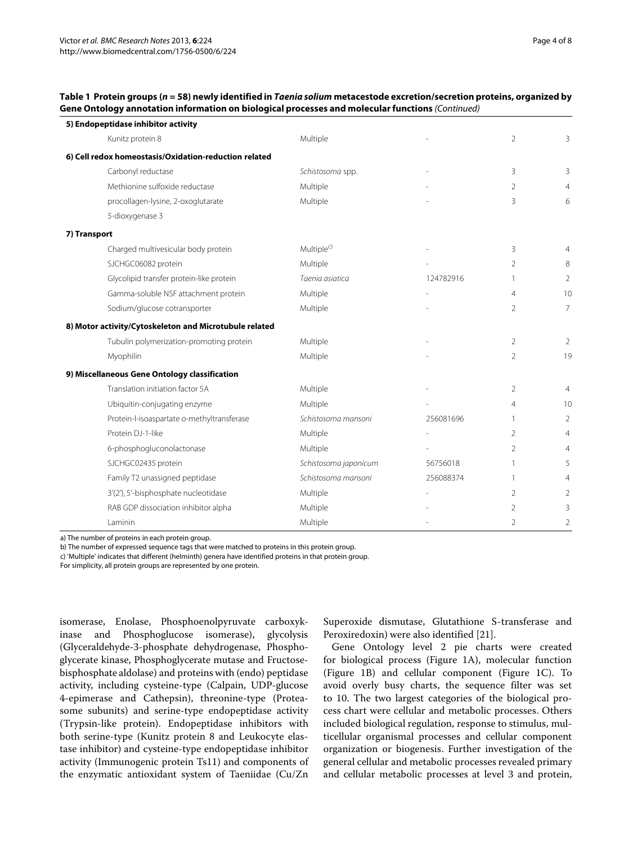| 5) Endopeptidase inhibitor activity                    |                        |           |                |                |
|--------------------------------------------------------|------------------------|-----------|----------------|----------------|
| Kunitz protein 8                                       | Multiple               |           | $\overline{2}$ | 3              |
| 6) Cell redox homeostasis/Oxidation-reduction related  |                        |           |                |                |
| Carbonyl reductase                                     | Schistosoma spp.       |           | 3              | 3              |
| Methionine sulfoxide reductase                         | Multiple               |           | 2              | $\overline{4}$ |
| procollagen-lysine, 2-oxoglutarate                     | Multiple               |           | 3              | 6              |
| 5-dioxygenase 3                                        |                        |           |                |                |
| 7) Transport                                           |                        |           |                |                |
| Charged multivesicular body protein                    | Multiple <sup>c)</sup> |           | 3              | 4              |
| SJCHGC06082 protein                                    | Multiple               |           | 2              | 8              |
| Glycolipid transfer protein-like protein               | Taenia asiatica        | 124782916 | 1              | $\overline{2}$ |
| Gamma-soluble NSF attachment protein                   | Multiple               |           | 4              | 10             |
| Sodium/glucose cotransporter                           | Multiple               |           | $\overline{2}$ | $\overline{7}$ |
| 8) Motor activity/Cytoskeleton and Microtubule related |                        |           |                |                |
| Tubulin polymerization-promoting protein               | Multiple               |           | $\overline{2}$ | $\overline{2}$ |
| Myophilin                                              | Multiple               |           | 2              | 19             |
| 9) Miscellaneous Gene Ontology classification          |                        |           |                |                |
| Translation initiation factor 5A                       | Multiple               |           | $\overline{2}$ | $\overline{4}$ |
| Ubiquitin-conjugating enzyme                           | Multiple               |           | 4              | 10             |
| Protein-l-isoaspartate o-methyltransferase             | Schistosoma mansoni    | 256081696 | $\mathbf{1}$   | 2              |
| Protein DJ-1-like                                      | Multiple               |           | $\overline{2}$ | $\overline{4}$ |
| 6-phosphogluconolactonase                              | Multiple               |           | 2              | $\overline{4}$ |
| SJCHGC02435 protein                                    | Schistosoma japonicum  | 56756018  | 1              | 5              |
| Family T2 unassigned peptidase                         | Schistosoma mansoni    | 256088374 | 1              | $\overline{4}$ |
| 3'(2'), 5'-bisphosphate nucleotidase                   | Multiple               |           | 2              | 2              |
| RAB GDP dissociation inhibitor alpha                   | Multiple               |           | 2              | 3              |
| Laminin                                                | Multiple               |           | $\overline{2}$ | 2              |

## **Table 1 Protein groups (***n* **= 58) newly identified in** *Taenia solium* **metacestode excretion/secretion proteins, organized by Gene Ontology annotation information on biological processes and molecular functions** *(Continued)*

a) The number of proteins in each protein group.

b) The number of expressed sequence tags that were matched to proteins in this protein group.

c) 'Multiple' indicates that different (helminth) genera have identified proteins in that protein group.

For simplicity, all protein groups are represented by one protein.

isomerase, Enolase, Phosphoenolpyruvate carboxykinase and Phosphoglucose isomerase), glycolysis (Glyceraldehyde-3-phosphate dehydrogenase, Phosphoglycerate kinase, Phosphoglycerate mutase and Fructosebisphosphate aldolase) and proteins with (endo) peptidase activity, including cysteine-type (Calpain, UDP-glucose 4-epimerase and Cathepsin), threonine-type (Proteasome subunits) and serine-type endopeptidase activity (Trypsin-like protein). Endopeptidase inhibitors with both serine-type (Kunitz protein 8 and Leukocyte elastase inhibitor) and cysteine-type endopeptidase inhibitor activity (Immunogenic protein Ts11) and components of the enzymatic antioxidant system of Taeniidae (Cu/Zn

Superoxide dismutase, Glutathione S-transferase and Peroxiredoxin) were also identified [\[21\]](#page-7-19).

Gene Ontology level 2 pie charts were created for biological process (Figure [1A](#page-4-0)), molecular function (Figure [1B](#page-4-0)) and cellular component (Figure [1C](#page-4-0)). To avoid overly busy charts, the sequence filter was set to 10. The two largest categories of the biological process chart were cellular and metabolic processes. Others included biological regulation, response to stimulus, multicellular organismal processes and cellular component organization or biogenesis. Further investigation of the general cellular and metabolic processes revealed primary and cellular metabolic processes at level 3 and protein,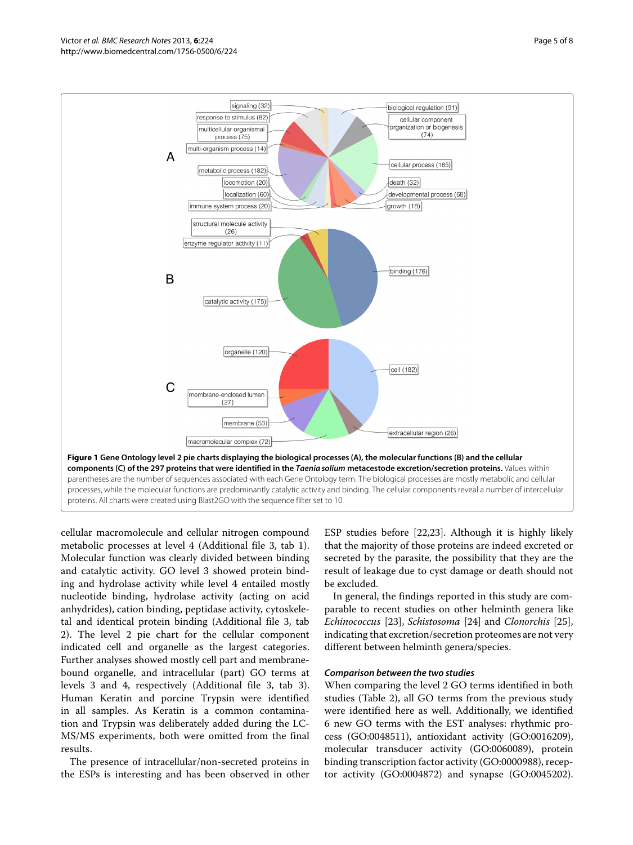

<span id="page-4-0"></span>cellular macromolecule and cellular nitrogen compound metabolic processes at level 4 (Additional file [3,](#page-6-2) tab 1). Molecular function was clearly divided between binding and catalytic activity. GO level 3 showed protein binding and hydrolase activity while level 4 entailed mostly nucleotide binding, hydrolase activity (acting on acid anhydrides), cation binding, peptidase activity, cytoskeletal and identical protein binding (Additional file [3,](#page-6-2) tab 2). The level 2 pie chart for the cellular component indicated cell and organelle as the largest categories. Further analyses showed mostly cell part and membranebound organelle, and intracellular (part) GO terms at levels 3 and 4, respectively (Additional file [3,](#page-6-2) tab 3). Human Keratin and porcine Trypsin were identified in all samples. As Keratin is a common contamination and Trypsin was deliberately added during the LC-MS/MS experiments, both were omitted from the final results.

The presence of intracellular/non-secreted proteins in the ESPs is interesting and has been observed in other ESP studies before [\[22](#page-7-20)[,23\]](#page-7-21). Although it is highly likely that the majority of those proteins are indeed excreted or secreted by the parasite, the possibility that they are the result of leakage due to cyst damage or death should not be excluded.

In general, the findings reported in this study are comparable to recent studies on other helminth genera like *Echinococcus* [\[23\]](#page-7-21), *Schistosoma* [\[24\]](#page-7-22) and *Clonorchis* [\[25\]](#page-7-23), indicating that excretion/secretion proteomes are not very different between helminth genera/species.

#### *Comparison between the two studies*

When comparing the level 2 GO terms identified in both studies (Table [2\)](#page-5-0), all GO terms from the previous study were identified here as well. Additionally, we identified 6 new GO terms with the EST analyses: rhythmic process (GO:0048511), antioxidant activity (GO:0016209), molecular transducer activity (GO:0060089), protein binding transcription factor activity (GO:0000988), receptor activity (GO:0004872) and synapse (GO:0045202).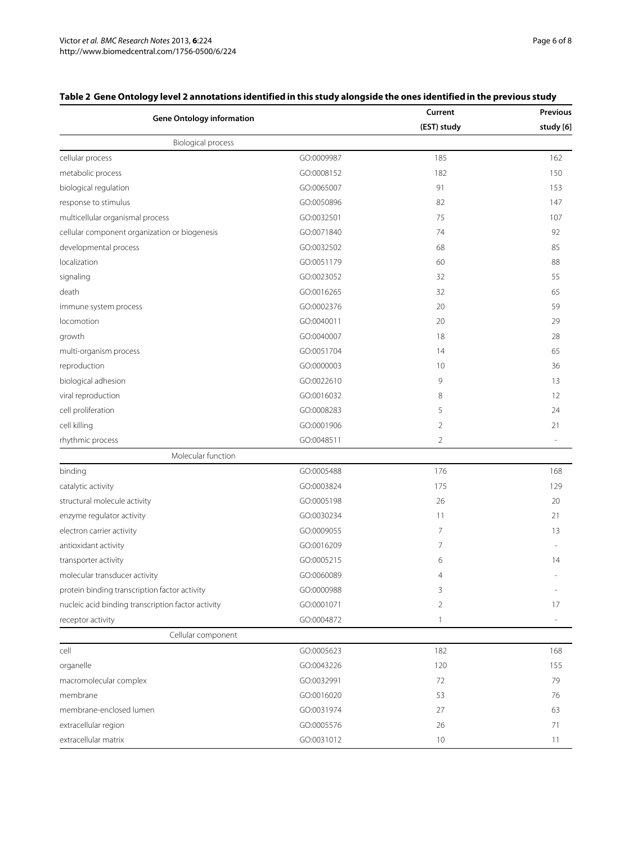<span id="page-5-0"></span>

|                                                    |            | Current        | <b>Previous</b> |
|----------------------------------------------------|------------|----------------|-----------------|
| <b>Gene Ontology information</b>                   |            | (EST) study    | study [6]       |
| <b>Biological process</b>                          |            |                |                 |
| cellular process                                   | GO:0009987 | 185            | 162             |
| metabolic process                                  | GO:0008152 | 182            | 150             |
| biological regulation                              | GO:0065007 | 91             | 153             |
| response to stimulus                               | GO:0050896 | 82             | 147             |
| multicellular organismal process                   | GO:0032501 | 75             | 107             |
| cellular component organization or biogenesis      | GO:0071840 | 74             | 92              |
| developmental process                              | GO:0032502 | 68             | 85              |
| localization                                       | GO:0051179 | 60             | 88              |
| signaling                                          | GO:0023052 | 32             | 55              |
| death                                              | GO:0016265 | 32             | 65              |
| immune system process                              | GO:0002376 | 20             | 59              |
| locomotion                                         | GO:0040011 | 20             | 29              |
| growth                                             | GO:0040007 | 18             | 28              |
| multi-organism process                             | GO:0051704 | 14             | 65              |
| reproduction                                       | GO:0000003 | 10             | 36              |
| biological adhesion                                | GO:0022610 | 9              | 13              |
| viral reproduction                                 | GO:0016032 | 8              | 12              |
| cell proliferation                                 | GO:0008283 | 5              | 24              |
| cell killing                                       | GO:0001906 | $\overline{2}$ | 21              |
| rhythmic process                                   | GO:0048511 | $\overline{2}$ |                 |
| Molecular function                                 |            |                |                 |
| binding                                            | GO:0005488 | 176            | 168             |
| catalytic activity                                 | GO:0003824 | 175            | 129             |
| structural molecule activity                       | GO:0005198 | 26             | 20              |
| enzyme regulator activity                          | GO:0030234 | 11             | 21              |
| electron carrier activity                          | GO:0009055 | 7              | 13              |
| antioxidant activity                               | GO:0016209 | 7              |                 |
| transporter activity                               | GO:0005215 | 6              | 14              |
| molecular transducer activity                      | GO:0060089 | 4              |                 |
| protein binding transcription factor activity      | GO:0000988 | 3              |                 |
| nucleic acid binding transcription factor activity | GO:0001071 | $\overline{2}$ | 17              |
| receptor activity                                  | GO:0004872 | 1              |                 |
| Cellular component                                 |            |                |                 |
| cell                                               | GO:0005623 | 182            | 168             |
| organelle                                          | GO:0043226 | 120            | 155             |
| macromolecular complex                             | GO:0032991 | 72             | 79              |
| membrane                                           | GO:0016020 | 53             | 76              |
| membrane-enclosed lumen                            | GO:0031974 | 27             | 63              |
| extracellular region                               | GO:0005576 | 26             | 71              |
| extracellular matrix                               | GO:0031012 | 10             | 11              |

# **Table 2 Gene Ontology level 2 annotations identified in this study alongside the ones identified in the previous study**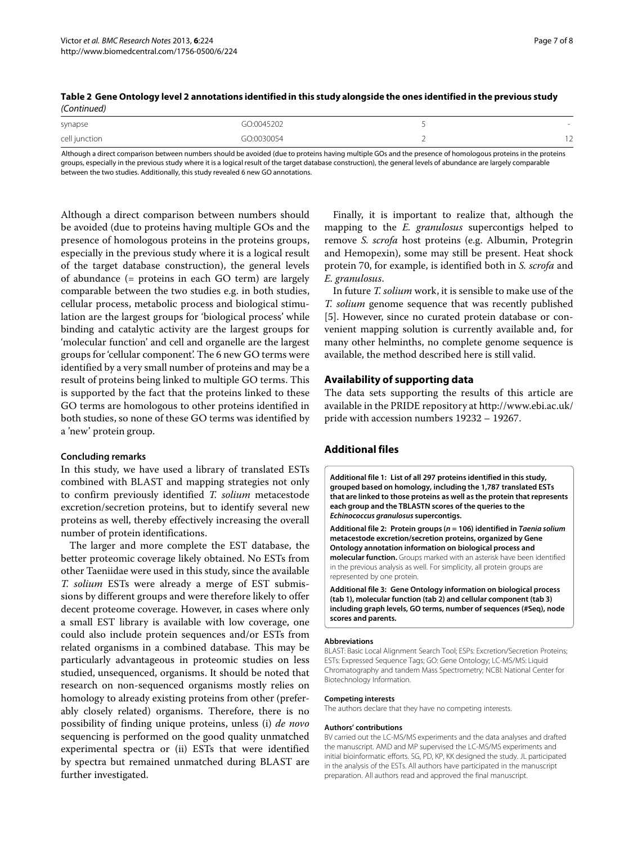| Table 2 Gene Ontology level 2 annotations identified in this study alongside the ones identified in the previous study |  |
|------------------------------------------------------------------------------------------------------------------------|--|
| (Continued)                                                                                                            |  |

| synapse       | GO:0045202 |        |
|---------------|------------|--------|
| cell junction | GO:0030054 | $\sim$ |

Although a direct comparison between numbers should be avoided (due to proteins having multiple GOs and the presence of homologous proteins in the proteins groups, especially in the previous study where it is a logical result of the target database construction), the general levels of abundance are largely comparable between the two studies. Additionally, this study revealed 6 new GO annotations.

Although a direct comparison between numbers should be avoided (due to proteins having multiple GOs and the presence of homologous proteins in the proteins groups, especially in the previous study where it is a logical result of the target database construction), the general levels of abundance (= proteins in each GO term) are largely comparable between the two studies e.g. in both studies, cellular process, metabolic process and biological stimulation are the largest groups for 'biological process' while binding and catalytic activity are the largest groups for 'molecular function' and cell and organelle are the largest groups for 'cellular component'. The 6 new GO terms were identified by a very small number of proteins and may be a result of proteins being linked to multiple GO terms. This is supported by the fact that the proteins linked to these GO terms are homologous to other proteins identified in both studies, so none of these GO terms was identified by a 'new' protein group.

#### **Concluding remarks**

In this study, we have used a library of translated ESTs combined with BLAST and mapping strategies not only to confirm previously identified *T. solium* metacestode excretion/secretion proteins, but to identify several new proteins as well, thereby effectively increasing the overall number of protein identifications.

The larger and more complete the EST database, the better proteomic coverage likely obtained. No ESTs from other Taeniidae were used in this study, since the available *T. solium* ESTs were already a merge of EST submissions by different groups and were therefore likely to offer decent proteome coverage. However, in cases where only a small EST library is available with low coverage, one could also include protein sequences and/or ESTs from related organisms in a combined database. This may be particularly advantageous in proteomic studies on less studied, unsequenced, organisms. It should be noted that research on non-sequenced organisms mostly relies on homology to already existing proteins from other (preferably closely related) organisms. Therefore, there is no possibility of finding unique proteins, unless (i) *de novo* sequencing is performed on the good quality unmatched experimental spectra or (ii) ESTs that were identified by spectra but remained unmatched during BLAST are further investigated.

Finally, it is important to realize that, although the mapping to the *E. granulosus* supercontigs helped to remove *S. scrofa* host proteins (e.g. Albumin, Protegrin and Hemopexin), some may still be present. Heat shock protein 70, for example, is identified both in *S. scrofa* and *E. granulosus*.

In future *T. solium* work, it is sensible to make use of the *T. solium* genome sequence that was recently published [\[5\]](#page-7-3). However, since no curated protein database or convenient mapping solution is currently available and, for many other helminths, no complete genome sequence is available, the method described here is still valid.

### **Availability of supporting data**

The data sets supporting the results of this article are available in the PRIDE repository at [http://www.ebi.ac.uk/](http://www.ebi.ac.uk/pride) [pride](http://www.ebi.ac.uk/pride) with accession numbers 19232 – 19267.

### **Additional files**

<span id="page-6-0"></span>**[Additional file 1:](http://www.biomedcentral.com/content/supplementary/1756-0500-6-224-S1.pdf) List of all 297 proteins identified in this study, grouped based on homology, including the 1,787 translated ESTs that are linked to those proteins as well as the protein that represents each group and the TBLASTN scores of the queries to the** *Echinococcus granulosus* **supercontigs.**

<span id="page-6-1"></span>**[Additional file 2:](http://www.biomedcentral.com/content/supplementary/1756-0500-6-224-S2.pdf) Protein groups (***n* **= 106) identified in** *Taenia solium* **metacestode excretion/secretion proteins, organized by Gene Ontology annotation information on biological process and molecular function.** Groups marked with an asterisk have been identified in the previous analysis as well. For simplicity, all protein groups are represented by one protein.

<span id="page-6-2"></span>**[Additional file 3:](http://www.biomedcentral.com/content/supplementary/1756-0500-6-224-S3.xls) Gene Ontology information on biological process (tab 1), molecular function (tab 2) and cellular component (tab 3) including graph levels, GO terms, number of sequences (#Seq), node scores and parents.**

#### **Abbreviations**

BLAST: Basic Local Alignment Search Tool; ESPs: Excretion/Secretion Proteins; ESTs: Expressed Sequence Tags; GO: Gene Ontology; LC-MS/MS: Liquid Chromatography and tandem Mass Spectrometry; NCBI: National Center for Biotechnology Information.

#### **Competing interests**

The authors declare that they have no competing interests.

#### **Authors' contributions**

BV carried out the LC-MS/MS experiments and the data analyses and drafted the manuscript. AMD and MP supervised the LC-MS/MS experiments and initial bioinformatic efforts. SG, PD, KP, KK designed the study. JL participated in the analysis of the ESTs. All authors have participated in the manuscript preparation. All authors read and approved the final manuscript.